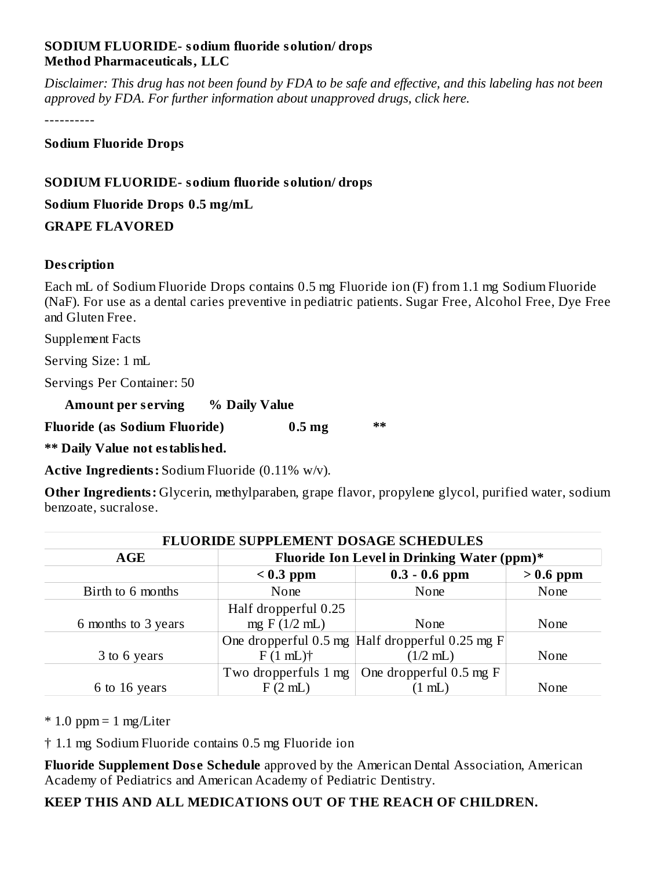## **SODIUM FLUORIDE- sodium fluoride solution/ drops Method Pharmaceuticals, LLC**

Disclaimer: This drug has not been found by FDA to be safe and effective, and this labeling has not been *approved by FDA. For further information about unapproved drugs, click here.*

----------

## **Sodium Fluoride Drops**

# **SODIUM FLUORIDE- sodium fluoride solution/ drops**

**Sodium Fluoride Drops 0.5 mg/mL**

**GRAPE FLAVORED**

# **Des cription**

Each mL of Sodium Fluoride Drops contains 0.5 mg Fluoride ion (F) from 1.1 mg Sodium Fluoride (NaF). For use as a dental caries preventive in pediatric patients. Sugar Free, Alcohol Free, Dye Free and Gluten Free.

Supplement Facts

Serving Size: 1 mL

Servings Per Container: 50

| <b>Amount per serving</b> | % Daily Value |
|---------------------------|---------------|
|---------------------------|---------------|

**Fluoride (as Sodium Fluoride) 0.5 mg \*\***

**\*\* Daily Value not established.**

**Active Ingredients:** Sodium Fluoride (0.11% w/v).

**Other Ingredients:** Glycerin, methylparaben, grape flavor, propylene glycol, purified water, sodium benzoate, sucralose.

| <b>FLUORIDE SUPPLEMENT DOSAGE SCHEDULES</b> |                                             |                                                     |             |  |  |  |
|---------------------------------------------|---------------------------------------------|-----------------------------------------------------|-------------|--|--|--|
| <b>AGE</b>                                  | Fluoride Ion Level in Drinking Water (ppm)* |                                                     |             |  |  |  |
|                                             | $< 0.3$ ppm                                 | $0.3 - 0.6$ ppm                                     | $> 0.6$ ppm |  |  |  |
| Birth to 6 months                           | None                                        | None                                                | None        |  |  |  |
|                                             | Half dropperful 0.25                        |                                                     |             |  |  |  |
| 6 months to 3 years                         | mg $F(1/2mL)$                               | None                                                | None        |  |  |  |
|                                             |                                             | One dropperful $0.5$ mg Half dropperful $0.25$ mg F |             |  |  |  |
| 3 to 6 years                                | $F(1mL)$ <sup>†</sup>                       | $(1/2$ mL)                                          | None        |  |  |  |
|                                             | Two dropperfuls 1 mg                        | One dropperful 0.5 mg F                             |             |  |  |  |
| 6 to 16 years                               | F(2mL)                                      | $(1 \text{ mL})$                                    | None        |  |  |  |

 $*$  1.0 ppm = 1 mg/Liter

† 1.1 mg Sodium Fluoride contains 0.5 mg Fluoride ion

**Fluoride Supplement Dos e Schedule** approved by the American Dental Association, American Academy of Pediatrics and American Academy of Pediatric Dentistry.

**KEEP THIS AND ALL MEDICATIONS OUT OF THE REACH OF CHILDREN.**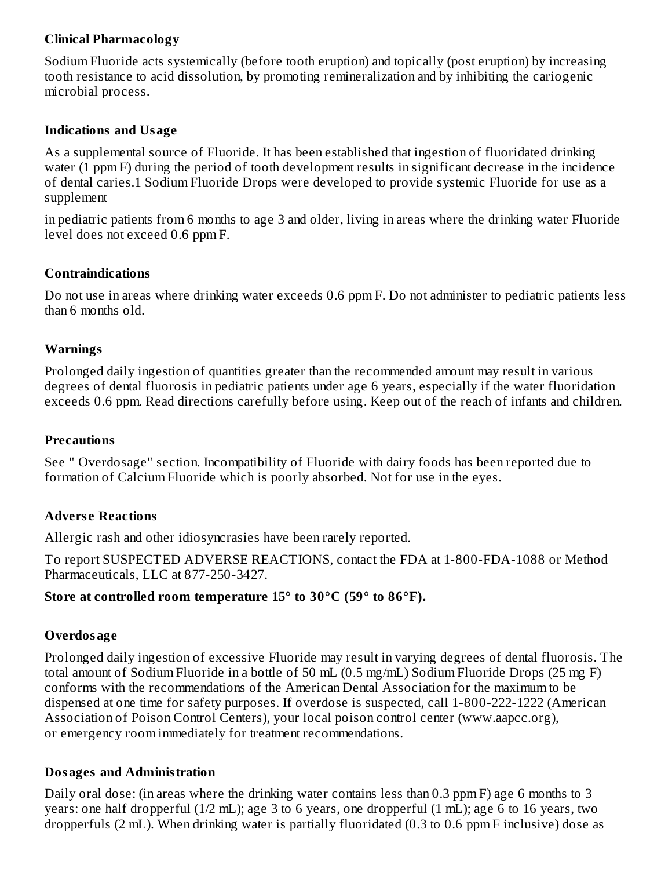# **Clinical Pharmacology**

Sodium Fluoride acts systemically (before tooth eruption) and topically (post eruption) by increasing tooth resistance to acid dissolution, by promoting remineralization and by inhibiting the cariogenic microbial process.

### **Indications and Usage**

As a supplemental source of Fluoride. It has been established that ingestion of fluoridated drinking water (1 ppm F) during the period of tooth development results in significant decrease in the incidence of dental caries.1 Sodium Fluoride Drops were developed to provide systemic Fluoride for use as a supplement

in pediatric patients from 6 months to age 3 and older, living in areas where the drinking water Fluoride level does not exceed 0.6 ppm F.

## **Contraindications**

Do not use in areas where drinking water exceeds 0.6 ppm F. Do not administer to pediatric patients less than 6 months old.

## **Warnings**

Prolonged daily ingestion of quantities greater than the recommended amount may result in various degrees of dental fluorosis in pediatric patients under age 6 years, especially if the water fluoridation exceeds 0.6 ppm. Read directions carefully before using. Keep out of the reach of infants and children.

### **Precautions**

See " Overdosage" section. Incompatibility of Fluoride with dairy foods has been reported due to formation of Calcium Fluoride which is poorly absorbed. Not for use in the eyes.

# **Advers e Reactions**

Allergic rash and other idiosyncrasies have been rarely reported.

To report SUSPECTED ADVERSE REACTIONS, contact the FDA at 1-800-FDA-1088 or Method Pharmaceuticals, LLC at 877-250-3427.

### **Store at controlled room temperature 15° to 30°C (59° to 86°F).**

### **Overdosage**

Prolonged daily ingestion of excessive Fluoride may result in varying degrees of dental fluorosis. The total amount of Sodium Fluoride in a bottle of 50 mL (0.5 mg/mL) Sodium Fluoride Drops (25 mg F) conforms with the recommendations of the American Dental Association for the maximum to be dispensed at one time for safety purposes. If overdose is suspected, call 1-800-222-1222 (American Association of Poison Control Centers), your local poison control center (www.aapcc.org), or emergency room immediately for treatment recommendations.

### **Dosages and Administration**

Daily oral dose: (in areas where the drinking water contains less than 0.3 ppm F) age 6 months to 3 years: one half dropperful (1/2 mL); age 3 to 6 years, one dropperful (1 mL); age 6 to 16 years, two dropperfuls (2 mL). When drinking water is partially fluoridated (0.3 to 0.6 ppm F inclusive) dose as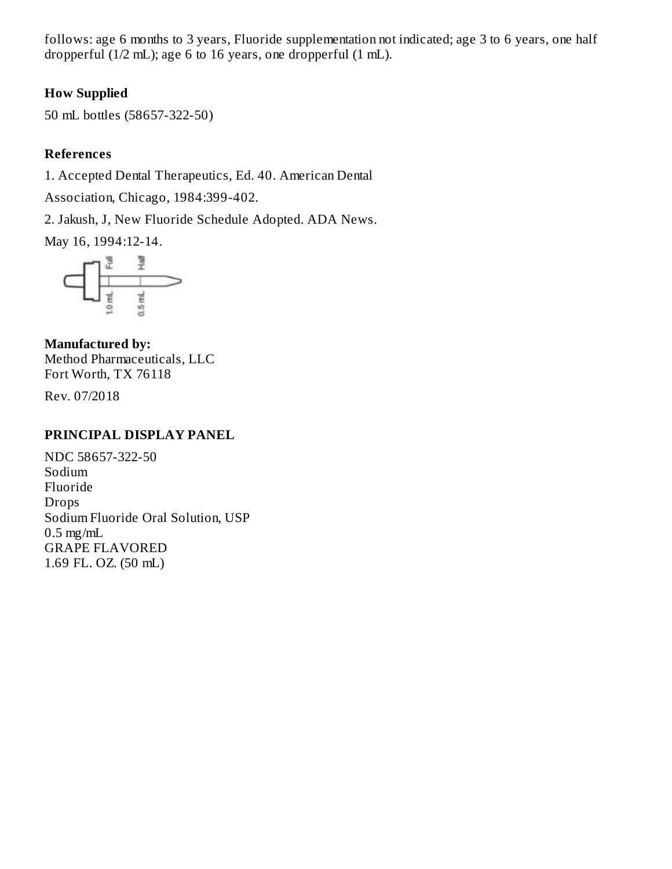follows: age 6 months to 3 years, Fluoride supplementation not indicated; age 3 to 6 years, one half dropperful (1/2 mL); age 6 to 16 years, one dropperful (1 mL).

# **How Supplied**

50 mL bottles (58657-322-50)

# **References**

1. Accepted Dental Therapeutics, Ed. 40. American Dental

Association, Chicago, 1984:399-402.

2. Jakush, J, New Fluoride Schedule Adopted. ADA News.

May 16, 1994:12-14.



**Manufactured by:** Method Pharmaceuticals, LLC Fort Worth, TX 76118

Rev. 07/2018

### **PRINCIPAL DISPLAY PANEL**

NDC 58657-322-50 Sodium Fluoride Drops Sodium Fluoride Oral Solution, USP  $0.5$  mg/mL GRAPE FLAVORED 1.69 FL. OZ. (50 mL)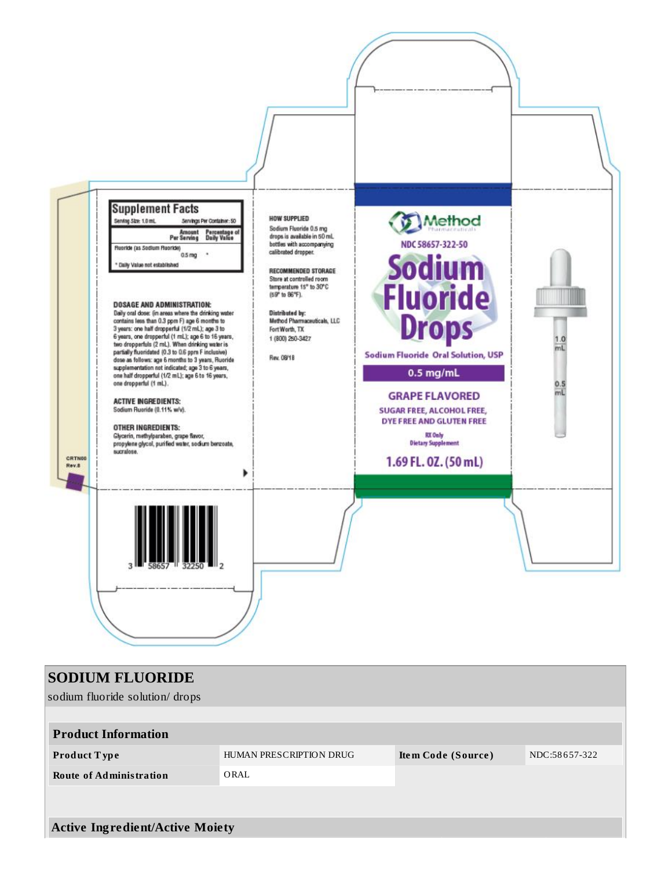

| <b>SODIUM FLUORIDE</b><br>sodium fluoride solution/drops |                         |                    |               |  |
|----------------------------------------------------------|-------------------------|--------------------|---------------|--|
| <b>Product Information</b>                               | HUMAN PRESCRIPTION DRUG |                    | NDC:58657-322 |  |
| <b>Product Type</b><br><b>Route of Administration</b>    | ORAL                    | Item Code (Source) |               |  |
|                                                          |                         |                    |               |  |
| <b>Active Ingredient/Active Moiety</b>                   |                         |                    |               |  |